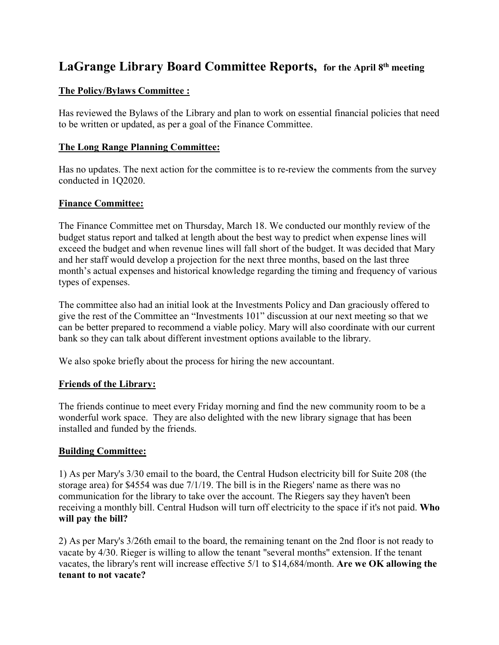# **LaGrange Library Board Committee Reports, for the April 8th meeting**

## **The Policy/Bylaws Committee :**

Has reviewed the Bylaws of the Library and plan to work on essential financial policies that need to be written or updated, as per a goal of the Finance Committee.

## **The Long Range Planning Committee:**

Has no updates. The next action for the committee is to re-review the comments from the survey conducted in 1Q2020.

## **Finance Committee:**

The Finance Committee met on Thursday, March 18. We conducted our monthly review of the budget status report and talked at length about the best way to predict when expense lines will exceed the budget and when revenue lines will fall short of the budget. It was decided that Mary and her staff would develop a projection for the next three months, based on the last three month's actual expenses and historical knowledge regarding the timing and frequency of various types of expenses.

The committee also had an initial look at the Investments Policy and Dan graciously offered to give the rest of the Committee an "Investments 101" discussion at our next meeting so that we can be better prepared to recommend a viable policy. Mary will also coordinate with our current bank so they can talk about different investment options available to the library.

We also spoke briefly about the process for hiring the new accountant.

#### **Friends of the Library:**

The friends continue to meet every Friday morning and find the new community room to be a wonderful work space. They are also delighted with the new library signage that has been installed and funded by the friends.

#### **Building Committee:**

1) As per Mary's 3/30 email to the board, the Central Hudson electricity bill for Suite 208 (the storage area) for \$4554 was due 7/1/19. The bill is in the Riegers' name as there was no communication for the library to take over the account. The Riegers say they haven't been receiving a monthly bill. Central Hudson will turn off electricity to the space if it's not paid. **Who will pay the bill?**

2) As per Mary's 3/26th email to the board, the remaining tenant on the 2nd floor is not ready to vacate by 4/30. Rieger is willing to allow the tenant "several months" extension. If the tenant vacates, the library's rent will increase effective 5/1 to \$14,684/month. **Are we OK allowing the tenant to not vacate?**